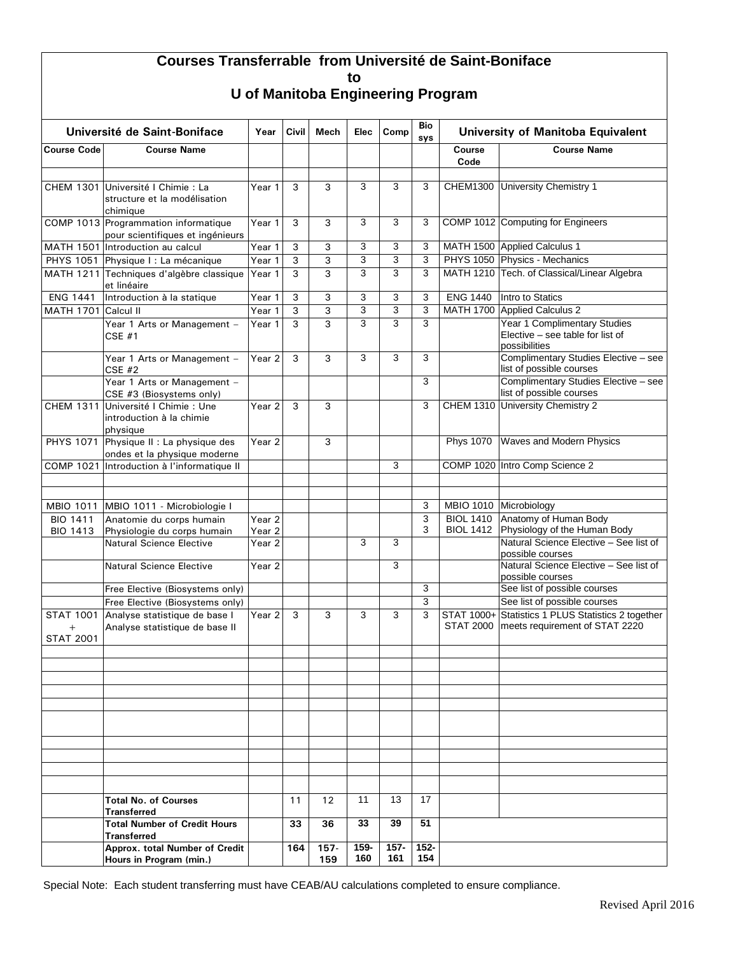## **Courses Transferrable from Université de Saint-Boniface to**

| Université de Saint-Boniface         |                                                                                | Year                                   | Civil | Mech              | Elec           | Comp           | Bio<br>sys     | <b>University of Manitoba Equivalent</b> |                                                                                   |  |
|--------------------------------------|--------------------------------------------------------------------------------|----------------------------------------|-------|-------------------|----------------|----------------|----------------|------------------------------------------|-----------------------------------------------------------------------------------|--|
| <b>Course Code</b>                   | <b>Course Name</b>                                                             |                                        |       |                   |                |                |                | Course<br>Code                           | <b>Course Name</b>                                                                |  |
|                                      |                                                                                |                                        |       |                   |                |                |                |                                          |                                                                                   |  |
|                                      | CHEM 1301 Université I Chimie : La<br>structure et la modélisation<br>chimique | Year 1                                 | 3     | 3                 | 3              | 3              | 3              | <b>CHEM1300</b>                          | University Chemistry 1                                                            |  |
|                                      | COMP 1013 Programmation informatique<br>pour scientifiques et ingénieurs       | Year 1                                 | 3     | 3                 | 3              | 3              | 3              |                                          | COMP 1012 Computing for Engineers                                                 |  |
| <b>MATH 1501</b>                     | Introduction au calcul                                                         | Year 1                                 | 3     | 3                 | 3              | 3              | 3              |                                          | MATH 1500 Applied Calculus 1                                                      |  |
|                                      | PHYS 1051 Physique I : La mécanique                                            | Year 1                                 | 3     | 3                 | 3              | 3              | 3              |                                          | PHYS 1050 Physics - Mechanics                                                     |  |
|                                      | MATH 1211 Techniques d'algèbre classique<br>et linéaire                        | Year 1                                 | 3     | 3                 | 3              | 3              | 3              |                                          | MATH 1210 Tech. of Classical/Linear Algebra                                       |  |
| <b>ENG 1441</b>                      | Introduction à la statique                                                     | Year 1                                 | 3     | 3                 | 3              | 3              | 3              | <b>ENG 1440</b>                          | Intro to Statics                                                                  |  |
| <b>MATH 1701</b>                     | Calcul II                                                                      | Year 1                                 | 3     | 3                 | 3              | 3              | 3              |                                          | MATH 1700 Applied Calculus 2                                                      |  |
|                                      | Year 1 Arts or Management -<br>$CSE$ #1                                        | Year 1                                 | 3     | 3                 | $\overline{3}$ | 3              | 3              |                                          | Year 1 Complimentary Studies<br>Elective - see table for list of<br>possibilities |  |
|                                      | Year 1 Arts or Management -<br><b>CSE #2</b>                                   | Year <sub>2</sub>                      | 3     | 3                 | 3              | 3              | 3              |                                          | Complimentary Studies Elective - see<br>list of possible courses                  |  |
|                                      | Year 1 Arts or Management -<br>CSE #3 (Biosystems only)                        |                                        |       |                   |                |                | 3              |                                          | Complimentary Studies Elective - see<br>list of possible courses                  |  |
| <b>CHEM 1311</b>                     | Université I Chimie : Une<br>introduction à la chimie<br>physique              | Year <sub>2</sub>                      | 3     | 3                 |                |                | 3              | <b>CHEM 1310</b>                         | University Chemistry 2                                                            |  |
| <b>PHYS 1071</b>                     | Physique II : La physique des<br>ondes et la physique moderne                  | Year <sub>2</sub>                      |       | 3                 |                |                |                | <b>Phys 1070</b>                         | <b>Waves and Modern Physics</b>                                                   |  |
| <b>COMP 1021</b>                     | Introduction à l'informatique II                                               |                                        |       |                   |                | 3              |                |                                          | COMP 1020 Intro Comp Science 2                                                    |  |
|                                      |                                                                                |                                        |       |                   |                |                |                |                                          |                                                                                   |  |
|                                      |                                                                                |                                        |       |                   |                |                |                |                                          |                                                                                   |  |
| <b>MBIO 1011</b>                     | MBIO 1011 - Microbiologie I                                                    |                                        |       |                   |                |                | 3              |                                          | MBIO 1010 Microbiology                                                            |  |
| <b>BIO 1411</b><br><b>BIO 1413</b>   | Anatomie du corps humain<br>Physiologie du corps humain                        | Year <sub>2</sub><br>Year <sub>2</sub> |       |                   |                |                | 3<br>3         | <b>BIOL 1410</b><br><b>BIOL 1412</b>     | Anatomy of Human Body<br>Physiology of the Human Body                             |  |
|                                      | <b>Natural Science Elective</b>                                                | Year <sub>2</sub>                      |       |                   | 3              | 3              |                |                                          | Natural Science Elective - See list of<br>possible courses                        |  |
|                                      | <b>Natural Science Elective</b>                                                | Year <sub>2</sub>                      |       |                   |                | 3              |                |                                          | Natural Science Elective - See list of<br>possible courses                        |  |
|                                      | Free Elective (Biosystems only)                                                |                                        |       |                   |                |                | 3              |                                          | See list of possible courses                                                      |  |
|                                      | Free Elective (Biosystems only)                                                |                                        |       |                   |                |                | 3              |                                          | See list of possible courses                                                      |  |
| <b>STAT 1001</b><br><b>STAT 2001</b> | Analyse statistique de base I<br>Analyse statistique de base II                | Year <sub>2</sub>                      | 3     | 3                 | 3              | 3              | 3              | STAT 1000+<br><b>STAT 2000</b>           | Statistics 1 PLUS Statistics 2 together<br>meets requirement of STAT 2220         |  |
|                                      |                                                                                |                                        |       |                   |                |                |                |                                          |                                                                                   |  |
|                                      |                                                                                |                                        |       |                   |                |                |                |                                          |                                                                                   |  |
|                                      |                                                                                |                                        |       |                   |                |                |                |                                          |                                                                                   |  |
|                                      |                                                                                |                                        |       |                   |                |                |                |                                          |                                                                                   |  |
|                                      |                                                                                |                                        |       |                   |                |                |                |                                          |                                                                                   |  |
|                                      |                                                                                |                                        |       |                   |                |                |                |                                          |                                                                                   |  |
|                                      |                                                                                |                                        |       |                   |                |                |                |                                          |                                                                                   |  |
|                                      |                                                                                |                                        |       |                   |                |                |                |                                          |                                                                                   |  |
|                                      | <b>Total No. of Courses</b><br><b>Transferred</b>                              |                                        | 11    | $12 \overline{ }$ | 11             | 13             | 17             |                                          |                                                                                   |  |
|                                      | <b>Total Number of Credit Hours</b><br>Transferred                             |                                        | 33    | 36                | 33             | 39             | 51             |                                          |                                                                                   |  |
|                                      | Approx. total Number of Credit<br>Hours in Program (min.)                      |                                        | 164   | $157 -$<br>159    | 159-<br>160    | $157 -$<br>161 | $152 -$<br>154 |                                          |                                                                                   |  |

Special Note: Each student transferring must have CEAB/AU calculations completed to ensure compliance.